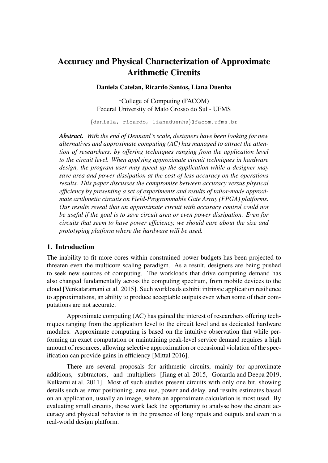# Accuracy and Physical Characterization of Approximate Arithmetic Circuits

Daniela Catelan, Ricardo Santos, Liana Duenha

<sup>1</sup>College of Computing (FACOM) Federal University of Mato Grosso do Sul - UFMS

{daniela, ricardo, lianaduenha}@facom.ufms.br

*Abstract. With the end of Dennard's scale, designers have been looking for new alternatives and approximate computing (AC) has managed to attract the attention of researchers, by offering techniques ranging from the application level to the circuit level. When applying approximate circuit techniques in hardware design, the program user may speed up the application while a designer may save area and power dissipation at the cost of less accuracy on the operations results. This paper discusses the compromise between accuracy versus physical efficiency by presenting a set of experiments and results of tailor-made approximate arithmetic circuits on Field-Programmable Gate Array (FPGA) platforms. Our results reveal that an approximate circuit with accuracy control could not be useful if the goal is to save circuit area or even power dissipation. Even for circuits that seem to have power efficiency, we should care about the size and prototyping platform where the hardware will be used.*

#### 1. Introduction

The inability to fit more cores within constrained power budgets has been projected to threaten even the multicore scaling paradigm. As a result, designers are being pushed to seek new sources of computing. The workloads that drive computing demand has also changed fundamentally across the computing spectrum, from mobile devices to the cloud [Venkataramani et al. 2015]. Such workloads exhibit intrinsic application resilience to approximations, an ability to produce acceptable outputs even when some of their computations are not accurate.

Approximate computing (AC) has gained the interest of researchers offering techniques ranging from the application level to the circuit level and as dedicated hardware modules. Approximate computing is based on the intuitive observation that while performing an exact computation or maintaining peak-level service demand requires a high amount of resources, allowing selective approximation or occasional violation of the specification can provide gains in efficiency [Mittal 2016].

There are several proposals for arithmetic circuits, mainly for approximate additions, subtractors, and multipliers [Jiang et al. 2015, Gorantla and Deepa 2019, Kulkarni et al. 2011]. Most of such studies present circuits with only one bit, showing details such as error positioning, area use, power and delay, and results estimates based on an application, usually an image, where an approximate calculation is most used. By evaluating small circuits, those work lack the opportunity to analyse how the circuit accuracy and physical behavior is in the presence of long inputs and outputs and even in a real-world design platform.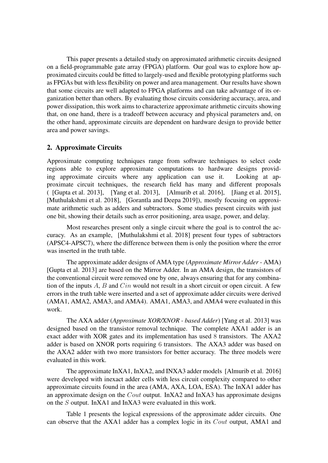This paper presents a detailed study on approximated arithmetic circuits designed on a field-programmable gate array (FPGA) platform. Our goal was to explore how approximated circuits could be fitted to largely-used and flexible prototyping platforms such as FPGAs but with less flexibility on power and area management. Our results have shown that some circuits are well adapted to FPGA platforms and can take advantage of its organization better than others. By evaluating those circuits considering accuracy, area, and power dissipation, this work aims to characterize approximate arithmetic circuits showing that, on one hand, there is a tradeoff between accuracy and physical parameters and, on the other hand, approximate circuits are dependent on hardware design to provide better area and power savings.

## 2. Approximate Circuits

Approximate computing techniques range from software techniques to select code regions able to explore approximate computations to hardware designs providing approximate circuits where any application can use it. Looking at approximate circuit techniques, the research field has many and different proposals ( [Gupta et al. 2013], [Yang et al. 2013], [Almurib et al. 2016], [Jiang et al. 2015], [Muthulakshmi et al. 2018], [Gorantla and Deepa 2019]), mostly focusing on approximate arithmetic such as adders and subtractors. Some studies present circuits with just one bit, showing their details such as error positioning, area usage, power, and delay.

Most researches present only a single circuit where the goal is to control the accuracy. As an example, [Muthulakshmi et al. 2018] present four types of subtractors (APSC4-APSC7), where the difference between them is only the position where the error was inserted in the truth table.

The approximate adder designs of AMA type (*Approximate Mirror Adder* - AMA) [Gupta et al. 2013] are based on the Mirror Adder. In an AMA design, the transistors of the conventional circuit were removed one by one, always ensuring that for any combination of the inputs  $A$ ,  $B$  and  $C$ *in* would not result in a short circuit or open circuit. A few errors in the truth table were inserted and a set of approximate adder circuits were derived (AMA1, AMA2, AMA3, and AMA4). AMA1, AMA3, and AMA4 were evaluated in this work.

The AXA adder (*Approximate XOR/XNOR - based Adder*) [Yang et al. 2013] was designed based on the transistor removal technique. The complete AXA1 adder is an exact adder with XOR gates and its implementation has used 8 transistors. The AXA2 adder is based on XNOR ports requiring 6 transistors. The AXA3 adder was based on the AXA2 adder with two more transistors for better accuracy. The three models were evaluated in this work.

The approximate InXA1, InXA2, and INXA3 adder models [Almurib et al. 2016] were developed with inexact adder cells with less circuit complexity compared to other approximate circuits found in the area (AMA, AXA, LOA, ESA). The InXA1 adder has an approximate design on the  $Cout$  output. InXA2 and InXA3 has approximate designs on the S output. InXA1 and InXA3 were evaluated in this work.

Table 1 presents the logical expressions of the approximate adder circuits. One can observe that the AXA1 adder has a complex logic in its Cout output, AMA1 and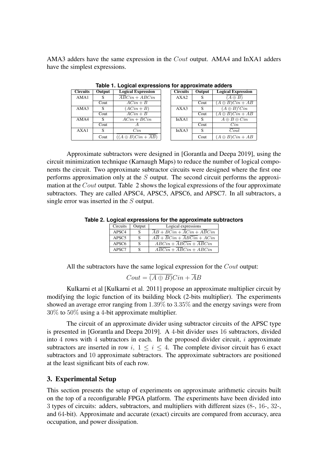AMA3 adders have the same expression in the Cout output. AMA4 and InXA1 adders have the simplest expressions.

| <b>Circuits</b> | Output | <b>Logical Expression</b>                  |  | <b>Circuits</b>  | Output | <b>Logical Expression</b> |  |  |
|-----------------|--------|--------------------------------------------|--|------------------|--------|---------------------------|--|--|
| AMA1            | S      | $\overline{ABC}$ <i>in</i> + ABC <i>in</i> |  | AXA <sub>2</sub> |        | $(A \oplus B)$            |  |  |
|                 | Cout   | $ACin+B$                                   |  |                  | Cout   | $(A \oplus B)Cin + AB$    |  |  |
| AMA3            | S      | $(ACin+B)$                                 |  | AXA3             |        | $(A \oplus B)'Cin$        |  |  |
|                 | Cout   | $ACin+B$                                   |  |                  | Cout   | $(A \oplus B)Cin + AB$    |  |  |
| AMA4            | S      | $ACin + BCin$                              |  | InXA1            |        | $A \oplus B \oplus Cin$   |  |  |
|                 | Cout   |                                            |  |                  | Cout   | Cin                       |  |  |
| AXA1            | S      | Cin                                        |  | InXA3            | S      | Cout                      |  |  |
|                 | Cout   | $((A \oplus B)Cin + \overline{AB})$        |  |                  | Cout   | $(A \oplus B)Cin + AB$    |  |  |

**Table 1. Logical expressions for approximate adders** tput | Logical Expression

Approximate subtractors were designed in [Gorantla and Deepa 2019], using the circuit minimization technique (Karnaugh Maps) to reduce the number of logical components the circuit. Two approximate subtractor circuits were designed where the first one performs approximation only at the S output. The second circuit performs the approximation at the Cout output. Table 2 shows the logical expressions of the four approximate subtractors. They are called APSC4, APSC5, APSC6, and APSC7. In all subtractors, a single error was inserted in the S output.

**Table 2. Logical expressions for the approximate subtractors**

| Circuits          | Output       | Logical expressions                              |
|-------------------|--------------|--------------------------------------------------|
| APSC4             | <sup>S</sup> | $AB + BCin + \overline{A}Cin + A\overline{B}Cin$ |
| APSC <sub>5</sub> | S            | $AB + BCin + ABCin + ACin$                       |
| APSC <sub>6</sub> | S            | $ABCin + \overline{ABCin} + \overline{ABCin}$    |
| APSC7             | S            | $ABCin + ABCin + ABCin$                          |

All the subtractors have the same logical expression for the *Cout* output:

$$
Cout = \overline{(A \oplus B)}Cin + \overline{A}B
$$

Kulkarni et al [Kulkarni et al. 2011] propose an approximate multiplier circuit by modifying the logic function of its building block (2-bits multiplier). The experiments showed an average error ranging from 1.39% to 3.35% and the energy savings were from 30% to 50% using a 4-bit approximate multiplier.

The circuit of an approximate divider using subtractor circuits of the APSC type is presented in [Gorantla and Deepa 2019]. A 4-bit divider uses 16 subtractors, divided into  $4$  rows with  $4$  subtractors in each. In the proposed divider circuit,  $i$  approximate subtractors are inserted in row i,  $1 \le i \le 4$ . The complete divisor circuit has 6 exact subtractors and 10 approximate subtractors. The approximate subtractors are positioned at the least significant bits of each row.

## 3. Experimental Setup

This section presents the setup of experiments on approximate arithmetic circuits built on the top of a reconfigurable FPGA platform. The experiments have been divided into 3 types of circuits: adders, subtractors, and multipliers with different sizes (8-, 16-, 32-, and 64-bit). Approximate and accurate (exact) circuits are compared from accuracy, area occupation, and power dissipation.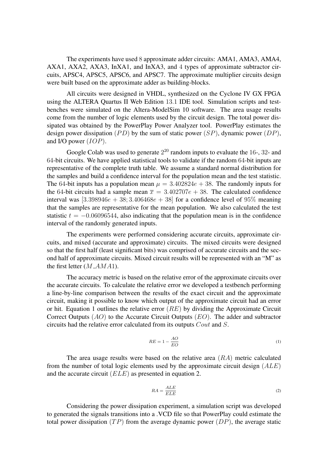The experiments have used 8 approximate adder circuits: AMA1, AMA3, AMA4, AXA1, AXA2, AXA3, InXA1, and InXA3, and 4 types of approximate subtractor circuits, APSC4, APSC5, APSC6, and APSC7. The approximate multiplier circuits design were built based on the approximate adder as building-blocks.

All circuits were designed in VHDL, synthesized on the Cyclone IV GX FPGA using the ALTERA Quartus II Web Edition 13.1 IDE tool. Simulation scripts and testbenches were simulated on the Altera-ModelSim 10 software. The area usage results come from the number of logic elements used by the circuit design. The total power dissipated was obtained by the PowerPlay Power Analyzer tool. PowerPlay estimates the design power dissipation (PD) by the sum of static power (SP), dynamic power (DP), and I/O power (IOP).

Google Colab was used to generate  $2^{20}$  random inputs to evaluate the 16-, 32- and 64-bit circuits. We have applied statistical tools to validate if the random 64-bit inputs are representative of the complete truth table. We assume a standard normal distribution for the samples and build a confidence interval for the population mean and the test statistic. The 64-bit inputs has a population mean  $\mu = 3.402824e + 38$ . The randomly inputs for the 64-bit circuits had a sample mean  $\overline{x} = 3.402707e + 38$ . The calculated confidence interval was  $[3.398946e + 38; 3.406468e + 38]$  for a confidence level of 95% meaning that the samples are representative for the mean population. We also calculated the test statistic  $t = -0.06096544$ , also indicating that the population mean is in the confidence interval of the randomly generated inputs.

The experiments were performed considering accurate circuits, approximate circuits, and mixed (accurate and approximate) circuits. The mixed circuits were designed so that the first half (least significant bits) was comprised of accurate circuits and the second half of approximate circuits. Mixed circuit results will be represented with an "M" as the first letter  $(M \text{ } A M A1)$ .

The accuracy metric is based on the relative error of the approximate circuits over the accurate circuits. To calculate the relative error we developed a testbench performing a line-by-line comparison between the results of the exact circuit and the approximate circuit, making it possible to know which output of the approximate circuit had an error or hit. Equation 1 outlines the relative error  $(RE)$  by dividing the Approximate Circuit Correct Outputs (AO) to the Accurate Circuit Outputs (EO). The adder and subtractor circuits had the relative error calculated from its outputs Cout and S.

$$
RE = 1 - \frac{AO}{EO} \tag{1}
$$

The area usage results were based on the relative area (RA) metric calculated from the number of total logic elements used by the approximate circuit design  $(ALE)$ and the accurate circuit (ELE) as presented in equation 2.

$$
RA = \frac{ALE}{ELE} \tag{2}
$$

Considering the power dissipation experiment, a simulation script was developed to generated the signals transitions into a .VCD file so that PowerPlay could estimate the total power dissipation  $(TP)$  from the average dynamic power  $(DP)$ , the average static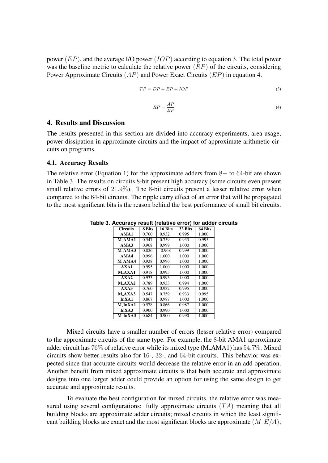power  $(EP)$ , and the average I/O power  $(IOP)$  according to equation 3. The total power was the baseline metric to calculate the relative power  $(RP)$  of the circuits, considering Power Approximate Circuits  $(AP)$  and Power Exact Circuits  $(EP)$  in equation 4.

$$
TP = DP + EP + IOP \tag{3}
$$

$$
RP = \frac{AP}{EP}
$$
 (4)

## 4. Results and Discussion

The results presented in this section are divided into accuracy experiments, area usage, power dissipation in approximate circuits and the impact of approximate arithmetic circuits on programs.

#### 4.1. Accuracy Results

The relative error (Equation 1) for the approximate adders from 8− to 64-bit are shown in Table 3. The results on circuits 8-bit present high accuracy (some circuits even present small relative errors of 21.9%). The 8-bit circuits present a lesser relative error when compared to the 64-bit circuits. The ripple carry effect of an error that will be propagated to the most significant bits is the reason behind the best performance of small bit circuits.

| $- - - - -$     |        |         |         |         |
|-----------------|--------|---------|---------|---------|
| <b>Circuits</b> | 8 Bits | 16 Bits | 32 Bits | 64 Bits |
| AMA1            | 0.760  | 0.932   | 0.995   | 1.000   |
| M AMA1          | 0.547  | 0.759   | 0.933   | 0.995   |
| AMA3            | 0.968  | 0.999   | 1.000   | 1.000   |
| M_AMA3          | 0.826  | 0.968   | 0.999   | 1.000   |
| AMA4            | 0.996  | 1.000   | 1.000   | 1.000   |
| <b>M_AMA4</b>   | 0.938  | 0.996   | 1.000   | 1.000   |
| AXA1            | 0.995  | 1.000   | 1.000   | 1.000   |
| M AXA1          | 0.918  | 0.995   | 1.000   | 1.000   |
| AXA2            | 0.933  | 0.993   | 1.000   | 1.000   |
| M AXA2          | 0.789  | 0.933   | 0.994   | 1.000   |
| AXA3            | 0.760  | 0.932   | 0.995   | 1.000   |
| M AXA3          | 0.547  | 0.759   | 0.933   | 0.995   |
| In XA1          | 0.867  | 0.987   | 1.000   | 1.000   |
| M InXA1         | 0.578  | 0.866   | 0.987   | 1.000   |
| InXA3           | 0.900  | 0.990   | 1.000   | 1.000   |
| $M- In XA3$     | 0.684  | 0.900   | 0.990   | 1.000   |

**Table 3. Accuracy result (relative error) for adder circuits**

Mixed circuits have a smaller number of errors (lesser relative error) compared to the approximate circuits of the same type. For example, the 8-bit AMA1 approximate adder circuit has  $76\%$  of relative error while its mixed type (M\_AMA1) has  $54.7\%$ . Mixed circuits show better results also for 16-, 32-, and 64-bit circuits. This behavior was expected since that accurate circuits would decrease the relative error in an add operation. Another benefit from mixed approximate circuits is that both accurate and approximate designs into one larger adder could provide an option for using the same design to get accurate and approximate results.

To evaluate the best configuration for mixed circuits, the relative error was measured using several configurations: fully approximate circuits  $(TA)$  meaning that all building blocks are approximate adder circuits; mixed circuits in which the least significant building blocks are exact and the most significant blocks are approximate  $(M_E/A)$ ;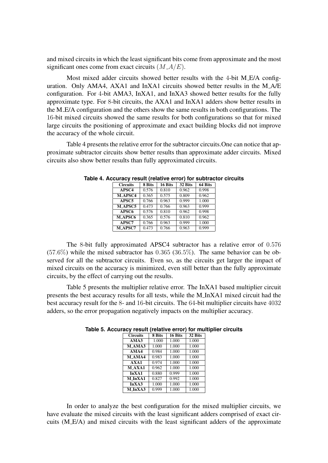and mixed circuits in which the least significant bits come from approximate and the most significant ones come from exact circuits  $(M A/E)$ .

Most mixed adder circuits showed better results with the 4-bit M E/A configuration. Only AMA4, AXA1 and InXA1 circuits showed better results in the M A/E configuration. For 4-bit AMA3, InXA1, and InXA3 showed better results for the fully approximate type. For 8-bit circuits, the AXA1 and InXA1 adders show better results in the M E/A configuration and the others show the same results in both configurations. The 16-bit mixed circuits showed the same results for both configurations so that for mixed large circuits the positioning of approximate and exact building blocks did not improve the accuracy of the whole circuit.

Table 4 presents the relative error for the subtractor circuits.One can notice that approximate subtractor circuits show better results than approximate adder circuits. Mixed circuits also show better results than fully approximated circuits.

| <b>Circuits</b> | 8 Bits | 16 Bits | 32 Bits | 64 Bits            |
|-----------------|--------|---------|---------|--------------------|
| APSC4           | 0.576  | 0.810   | 0.962   | 0.998              |
| <b>M_APSC4</b>  | 0.365  | 0.575   | 0.809   | 0.962              |
| APSC5           | 0.766  | 0.963   | 0.999   | 1.000              |
| M APSC5         | 0.473  | 0.766   | 0.963   | 0.999              |
| APSC6           | 0.576  | 0.810   | 0.962   | $\overline{0.998}$ |
| <b>M_APSC6</b>  | 0.365  | 0.576   | 0.810   | 0.962              |
| APSC7           | 0.766  | 0.963   | 0.999   | 1.000              |
| M APSC7         | 0.473  | 0.766   | 0.963   | 0.999              |

**Table 4. Accuracy result (relative error) for subtractor circuits**

The 8-bit fully approximated APSC4 subtractor has a relative error of 0.576  $(57.6\%)$  while the mixed subtractor has  $0.365$   $(36.5\%)$ . The same behavior can be observed for all the subtractor circuits. Even so, as the circuits get larger the impact of mixed circuits on the accuracy is minimized, even still better than the fully approximate circuits, by the effect of carrying out the results.

Table 5 presents the multiplier relative error. The InXA1 based multiplier circuit presents the best accuracy results for all tests, while the M InXA1 mixed circuit had the best accuracy result for the 8- and 16-bit circuits. The 64-bit multiplier circuits have 4032 adders, so the error propagation negatively impacts on the multiplier accuracy.

| <b>Circuits</b> | 8 Bits | 16 Bits | 32 Bits |
|-----------------|--------|---------|---------|
| AMA3            | 1.000  | 1.000   | 1.000   |
| M_AMA3          | 1.000  | 1.000   | 1.000   |
| AMA4            | 0.984  | 1.000   | 1.000   |
| M AMA4          | 0.983  | 1.000   | 1.000   |
| AXA1            | 0.974  | 1.000   | 1.000   |
| <b>M_AXA1</b>   | 0.962  | 1.000   | 1.000   |
| In XA1          | 0.880  | 0.999   | 1.000   |
| M_InXA1         | 0.827  | 0.992   | 1.000   |
| InXA3           | 1.000  | 1.000   | 1.000   |
| M InXA3         | 0.999  | 1.000   | 1.000   |

**Table 5. Accuracy result (relative error) for multiplier circuits**

In order to analyze the best configuration for the mixed multiplier circuits, we have evaluate the mixed circuits with the least significant adders comprised of exact circuits (M E/A) and mixed circuits with the least significant adders of the approximate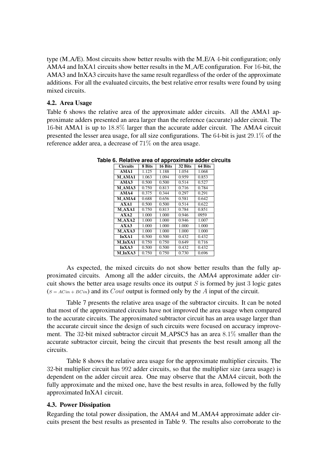type (M A/E). Most circuits show better results with the M E/A 4-bit configuration; only AMA4 and InXA1 circuits show better results in the M A/E configuration. For 16-bit, the AMA3 and InXA3 circuits have the same result regardless of the order of the approximate additions. For all the evaluated circuits, the best relative error results were found by using mixed circuits.

#### 4.2. Area Usage

Table 6 shows the relative area of the approximate adder circuits. All the AMA1 approximate adders presented an area larger than the reference (accurate) adder circuit. The 16-bit AMA1 is up to 18.8% larger than the accurate adder circuit. The AMA4 circuit presented the lesser area usage, for all size configurations. The 64-bit is just 29.1% of the reference adder area, a decrease of 71% on the area usage.

| <b>Circuits</b> | 8 Bits | 16 Bits | 32 Bits | 64 Bits |
|-----------------|--------|---------|---------|---------|
| AMA1            | 1.125  | 1.188   | 1.054   | 1.068   |
| <b>M_AMA1</b>   | 1.063  | 1.094   | 0.959   | 0.853   |
| AMA3            | 0.500  | 0.500   | 0.514   | 0.527   |
| M AMA3          | 0.750  | 0.813   | 0.716   | 0.784   |
| AMA4            | 0.375  | 0.344   | 0.297   | 0.291   |
| M AMA4          | 0.688  | 0.656   | 0.581   | 0.642   |
| AXA1            | 0.500  | 0.500   | 0.514   | 0.622   |
| <b>M_AXA1</b>   | 0.750  | 0.813   | 0.784   | 0.851   |
| AXA2            | 1.000  | 1.000   | 0.946   | 0959    |
| M AXA2          | 1.000  | 1.000   | 0.946   | 1.007   |
| AXA3            | 1.000  | 1.000   | 1.000   | 1.000   |
| $M$ $AXA3$      | 1.000  | 1.000   | 1.000   | 1.000   |
| In XA1          | 0.500  | 0.500   | 0.432   | 0.432   |
| $M- In XA1$     | 0.750  | 0.750   | 0.649   | 0.716   |
| InXA3           | 0.500  | 0.500   | 0.432   | 0.432   |
| M InXA3         | 0.750  | 0.750   | 0.730   | 0.696   |

**Table 6. Relative area of approximate adder circuits**

As expected, the mixed circuits do not show better results than the fully approximated circuits. Among all the adder circuits, the AMA4 approximate adder circuit shows the better area usage results once its output  $S$  is formed by just 3 logic gates  $(s = Acin + BCin)$  and its *Cout* output is formed only by the *A* input of the circuit.

Table 7 presents the relative area usage of the subtractor circuits. It can be noted that most of the approximated circuits have not improved the area usage when compared to the accurate circuits. The approximated subtractor circuit has an area usage larger than the accurate circuit since the design of such circuits were focused on accuracy improvement. The 32-bit mixed subtractor circuit M APSC5 has an area 8.1% smaller than the accurate subtractor circuit, being the circuit that presents the best result among all the circuits.

Table 8 shows the relative area usage for the approximate multiplier circuits. The 32-bit multiplier circuit has 992 adder circuits, so that the multiplier size (area usage) is dependent on the adder circuit area. One may observe that the AMA4 circuit, both the fully approximate and the mixed one, have the best results in area, followed by the fully approximated InXA1 circuit.

### 4.3. Power Dissipation

Regarding the total power dissipation, the AMA4 and M AMA4 approximate adder circuits present the best results as presented in Table 9. The results also corroborate to the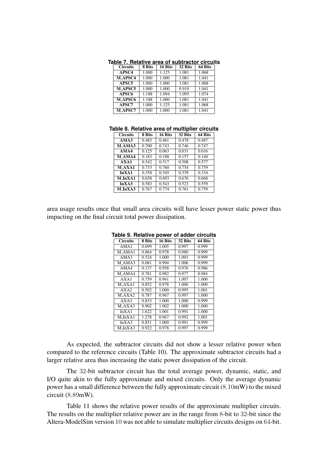| <b>Circuits</b> | 8 Bits | 16 Bits | 32 Bits | 64 Bits |
|-----------------|--------|---------|---------|---------|
| APSC4           | 1.000  | 1.125   | 1.081   | 1.068   |
| <b>M_APSC4</b>  | 1.000  | 1.000   | 1.081   | 1.041   |
| APSC5           | 1.000  | 1.000   | 1.081   | 1.068   |
| <b>M_APSC5</b>  | 1.000  | 1.000   | 0.919   | 1.041   |
| APSC6           | 1.188  | 1.094   | 1.095   | 1.074   |
| <b>M_APSC6</b>  | 1.188  | 1.000   | 1.081   | 1.041   |
| APSC7           | 1.000  | 1.125   | 1.081   | 1.068   |
| <b>M_APSC7</b>  | 1.000  | 1.000   | 1.081   | 1.041   |

**Table 7. Relative area of subtractor circuits**

#### **Table 8. Relative area of multiplier circuits**

| <b>Circuits</b> | 8 Bits | 16 Bits | 32 Bits | 64 Bits |
|-----------------|--------|---------|---------|---------|
| AMA3            | 0.483  | 0.461   | 0.478   | 0.487   |
| <b>M_AMA3</b>   | 0.700  | 0.743   | 0.746   | 0.747   |
| AMA4            | 0.125  | 0.063   | 0.031   | 0.016   |
| <b>MAMA4</b>    | 0.183  | 0.188   | 0.157   | 0.140   |
| AXA1            | 0.542  | 0.517   | 0.508   | 0.577   |
| M AXA1          | 0.733  | 0.760   | 0.754   | 0.759   |
| In XA1          | 0.358  | 0.345   | 0.339   | 0.334   |
| M InXA1         | 0.658  | 0.693   | 0.676   | 0.668   |
| InXA3           | 0.583  | 0.543   | 0.523   | 0.559   |
| M_InXA3         | 0.767  | 0.774   | 0.761   | 0.759   |

area usage results once that small area circuits will have lesser power static power thus impacting on the final circuit total power dissipation.

|  | <b>Circuits</b>             | 8 Bits | 16 Bits | 32 Bits | 64 Bits |  |
|--|-----------------------------|--------|---------|---------|---------|--|
|  | AMA1                        | 0.699  | 1.005   | 0.997   | 0.999   |  |
|  | M <sub>-</sub> AMA1         | 0.864  | 0.978   | 0.980   | 0.999   |  |
|  | AMA3                        | 0.524  | 1.000   | 1.003   | 0.999   |  |
|  | M AMA3                      | 0.081  | 0.994   | 1.006   | 0.999   |  |
|  | AMA4                        | 0.137  | 0.958   | 0.976   | 0.986   |  |
|  | M_AMA4                      | 0.781  | 0.982   | 0.977   | 0.984   |  |
|  | AXA1                        | 0.759  | 0.961   | 1.007   | 1.000   |  |
|  | M AXA1                      | 0.852  | 0.978   | 1.006   | 1.000   |  |
|  | AXA2                        | 0.502  | 1.000   | 0.995   | 1.001   |  |
|  | M AXA2                      | 0.787  | 0.967   | 0.997   | 1.000   |  |
|  | AXA3                        | 0.833  | 1.000   | 1.000   | 0.999   |  |
|  | $M$ <sub>-A</sub> $X$ A $3$ | 0.902  | 1.002   | 1.000   | 1.000   |  |
|  | In XA1                      | 1.622  | 1.001   | 0.991   | 1.000   |  |
|  | M InXA1                     | 1.278  | 0.967   | 0.992   | 1.001   |  |
|  | InXA3                       | 0.851  | 1.000   | 0.991   | 0.999   |  |
|  | M_InXA3                     | 0.922  | 0.978   | 0.997   | 0.999   |  |

**Table 9. Relative power of adder circuits**

As expected, the subtractor circuits did not show a lesser relative power when compared to the reference circuits (Table 10). The approximate subtractor circuits had a larger relative area thus increasing the static power dissipation of the circuit.

The 32-bit subtractor circuit has the total average power, dynamic, static, and I/O quite akin to the fully approximate and mixed circuits. Only the average dynamic power has a small difference between the fully approximate circuit (8.10mW) to the mixed circuit (8.89mW).

Table 11 shows the relative power results of the approximate multiplier circuits. The results on the multiplier relative power are in the range from 8-bit to 32-bit since the Altera-ModelSim version 10 was not able to simulate multiplier circuits designs on 64-bit.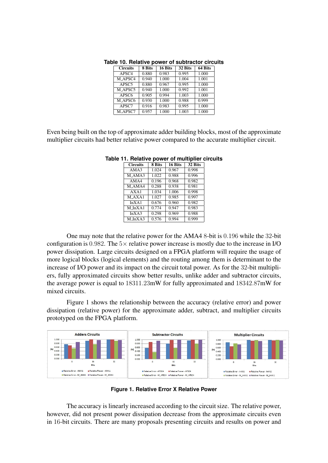| <b>Circuits</b>   | 8 Bits | 16 Bits | 32 Bits | 64 Bits |
|-------------------|--------|---------|---------|---------|
| APSC <sub>4</sub> | 0.880  | 0.983   | 0.995   | 1.000   |
| M APSC4           | 0.940  | 1.000   | 1.004   | 1.001   |
| APSC5             | 0.880  | 0.967   | 0.995   | 1.000   |
| M_APSC5           | 0.940  | 1.000   | 0.992   | 1.001   |
| APSC6             | 0.905  | 0.994   | 1.003   | 1.000   |
| M_APSC6           | 0.930  | 1.000   | 0.988   | 0.999   |
| APSC7             | 0.916  | 0.983   | 0.995   | 1.000   |
| M APSC7           | 0.957  | 1.000   | 1.003   | 1.000   |

**Table 10. Relative power of subtractor circuits**

Even being built on the top of approximate adder building blocks, most of the approximate multiplier circuits had better relative power compared to the accurate multiplier circuit.

| <b>Circuits</b>     | 8 Bits | 16 Bits | 32 Bits |
|---------------------|--------|---------|---------|
| AMA3                | 1.024  | 0.967   | 0.998   |
| M <sub>-</sub> AMA3 | 1.022  | 0.988   | 0.996   |
| AMA4                | 0.196  | 0.968   | 0.982   |
| M_AMA4              | 0.288  | 0.938   | 0.981   |
| AXA1                | 1.034  | 1.006   | 0.998   |
| $M_A X A1$          | 1.027  | 0.985   | 0.997   |
| InXA1               | 0.676  | 0.960   | 0.982   |
| $M-InXA1$           | 0.774  | 0.947   | 0.983   |
| InXA3               | 0.298  | 0.969   | 0.988   |
| M_InXA3             | 0.576  | 0.994   | 0.999   |

**Table 11. Relative power of multiplier circuits**

One may note that the relative power for the AMA4 8-bit is 0.196 while the 32-bit configuration is 0.982. The  $5\times$  relative power increase is mostly due to the increase in I/O power dissipation. Large circuits designed on a FPGA platform will require the usage of more logical blocks (logical elements) and the routing among them is determinant to the increase of I/O power and its impact on the circuit total power. As for the 32-bit multipliers, fully approximated circuits show better results, unlike adder and subtractor circuits, the average power is equal to 18311.23mW for fully approximated and 18342.87mW for mixed circuits.

Figure 1 shows the relationship between the accuracy (relative error) and power dissipation (relative power) for the approximate adder, subtract, and multiplier circuits prototyped on the FPGA platform.



**Figure 1. Relative Error X Relative Power**

The accuracy is linearly increased according to the circuit size. The relative power, however, did not present power dissipation decrease from the approximate circuits even in 16-bit circuits. There are many proposals presenting circuits and results on power and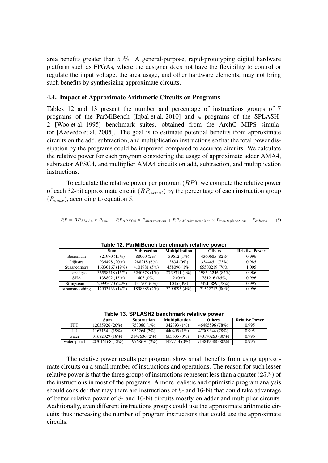area benefits greater than 50%. A general-purpose, rapid-prototyping digital hardware platform such as FPGAs, where the designer does not have the flexibility to control or regulate the input voltage, the area usage, and other hardware elements, may not bring such benefits by synthesizing approximate circuits.

#### 4.4. Impact of Approximate Arithmetic Circuits on Programs

Tables 12 and 13 present the number and percentage of instructions groups of 7 programs of the ParMiBench [Iqbal et al. 2010] and 4 programs of the SPLASH-2 [Woo et al. 1995] benchmark suites, obtained from the ArchC MIPS simulator [Azevedo et al. 2005]. The goal is to estimate potential benefits from approximate circuits on the add, subtraction, and multiplication instructions so that the total power dissipation by the programs could be improved compared to accurate circuits. We calculate the relative power for each program considering the usage of approximate adder AMA4, subtractor APSC4, and multiplier AMA4 circuits on add, subtraction, and multiplication instructions.

To calculate the relative power per program  $(RP)$ , we compute the relative power of each 32-bit approximate circuit  $(RP_{circuit})$  by the percentage of each instruction group  $(P_{instr})$ , according to equation 5.

```
RP = RP_{AMA4} \times P_{sum} + RP_{APSC4} \times P_{subtraction} + RP_{AMA4multiplier} \times P_{multilication} + P_{others} (5)
```

| $1000$ . In a modellon benominary relative power |                |                    |                       |                 |                       |  |  |
|--------------------------------------------------|----------------|--------------------|-----------------------|-----------------|-----------------------|--|--|
|                                                  | Sum            | <b>Subtraction</b> | <b>Multiplication</b> | <b>Others</b>   | <b>Relative Power</b> |  |  |
| <b>Basicmath</b>                                 | 821970 (15%)   | 88000 (2%)         | 39612 (1%)            | 4360685 (82%)   | 0.996                 |  |  |
| Dijkstra                                         | 936498 (20%)   | 288218 (6%)        | 3834 (0%)             | 3344451 (73%)   | 0.985                 |  |  |
| <b>Susancorners</b>                              | 16030167 (19%) | 4101981 (5%)       | 458096 (1%)           | 65500219 (76%)  | 1.005                 |  |  |
| susanedges                                       | 36558718 (15%) | 3240678 (1%)       | 2739311 (1%)          | 198543246 (82%) | 0.986                 |  |  |
| <b>SHA</b>                                       | 138802 (15%)   | 403 $(0\%)$        | $2(0\%)$              | 781216 (85%)    | 0.996                 |  |  |
| Stringsearch                                     | 20995070 (22%) | 141705 (0%)        | $1045(0\%)$           | 74211889 (78%)  | 0.995                 |  |  |
| susansmoothing                                   | 12903133 (14%) | 1898885 (2%)       | 3299095 (4%)          | 71522713 (80%)  | 0.996                 |  |  |

**Table 12. ParMiBench benchmark relative power**

**Table 13. SPLASH2 benchmark relative power**

|              | Sum             | <b>Subtraction</b> | <b>Multiplication</b> | <b>Others</b>   | <b>Relative Power</b> |
|--------------|-----------------|--------------------|-----------------------|-----------------|-----------------------|
| FFT          | 12035926 (20%)  | 753080 (1%)        | 342893 (1\%)          | 46485596 (78%)  | 0.995                 |
| ЫJ           | 11671541 (19%)  | 957264 (2%)        | 440495 (1\%)          | 47309344 (78%)  | 0.995                 |
| water        | 31682029 (18%)  | 3147636 (2%)       | 663635 (0%)           | 140190263 (80%) | 0.996                 |
| waterspatial | 207016168 (18%) | 19768670 (2%)      | 4457714 (0%)          | 913849588 (80%) | 0.996                 |

The relative power results per program show small benefits from using approximate circuits on a small number of instructions and operations. The reason for such lesser relative power is that the three groups of instructions represent less than a quarter  $(25\%)$  of the instructions in most of the programs. A more realistic and optimistic program analysis should consider that may there are instructions of 8- and 16-bit that could take advantage of better relative power of 8- and 16-bit circuits mostly on adder and multiplier circuits. Additionally, even different instructions groups could use the approximate arithmetic circuits thus increasing the number of program instructions that could use the approximate circuits.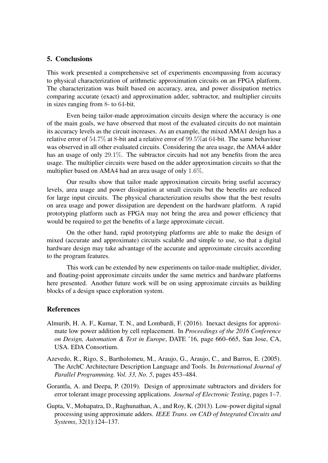## 5. Conclusions

This work presented a comprehensive set of experiments encompassing from accuracy to physical characterization of arithmetic approximation circuits on an FPGA platform. The characterization was built based on accuracy, area, and power dissipation metrics comparing accurate (exact) and approximation adder, subtractor, and multiplier circuits in sizes ranging from 8- to 64-bit.

Even being tailor-made approximation circuits design where the accuracy is one of the main goals, we have observed that most of the evaluated circuits do not maintain its accuracy levels as the circuit increases. As an example, the mixed AMA1 design has a relative error of 54.7% at 8-bit and a relative error of 99.5%at 64-bit. The same behaviour was observed in all other evaluated circuits. Considering the area usage, the AMA4 adder has an usage of only 29.1%. The subtractor circuits had not any benefits from the area usage. The multiplier circuits were based on the adder approximation circuits so that the multiplier based on AMA4 had an area usage of only 1.6%.

Our results show that tailor made approximation circuits bring useful accuracy levels, area usage and power dissipation at small circuits but the benefits are reduced for large input circuits. The physical characterization results show that the best results on area usage and power dissipation are dependent on the hardware platform. A rapid prototyping platform such as FPGA may not bring the area and power efficiency that would be required to get the benefits of a large approximate circuit.

On the other hand, rapid prototyping platforms are able to make the design of mixed (accurate and approximate) circuits scalable and simple to use, so that a digital hardware design may take advantage of the accurate and approximate circuits according to the program features.

This work can be extended by new experiments on tailor-made multiplier, divider, and floating-point approximate circuits under the same metrics and hardware platforms here presented. Another future work will be on using approximate circuits as building blocks of a design space exploration system.

### References

- Almurib, H. A. F., Kumar, T. N., and Lombardi, F. (2016). Inexact designs for approximate low power addition by cell replacement. In *Proceedings of the 2016 Conference on Design, Automation & Test in Europe*, DATE '16, page 660–665, San Jose, CA, USA. EDA Consortium.
- Azevedo, R., Rigo, S., Bartholomeu, M., Araujo, G., Araujo, C., and Barros, E. (2005). The ArchC Architecture Description Language and Tools. In *International Journal of Parallel Programming. Vol. 33, No. 5*, pages 453–484.
- Gorantla, A. and Deepa, P. (2019). Design of approximate subtractors and dividers for error tolerant image processing applications. *Journal of Electronic Testing*, pages 1–7.
- Gupta, V., Mohapatra, D., Raghunathan, A., and Roy, K. (2013). Low-power digital signal processing using approximate adders. *IEEE Trans. on CAD of Integrated Circuits and Systems*, 32(1):124–137.